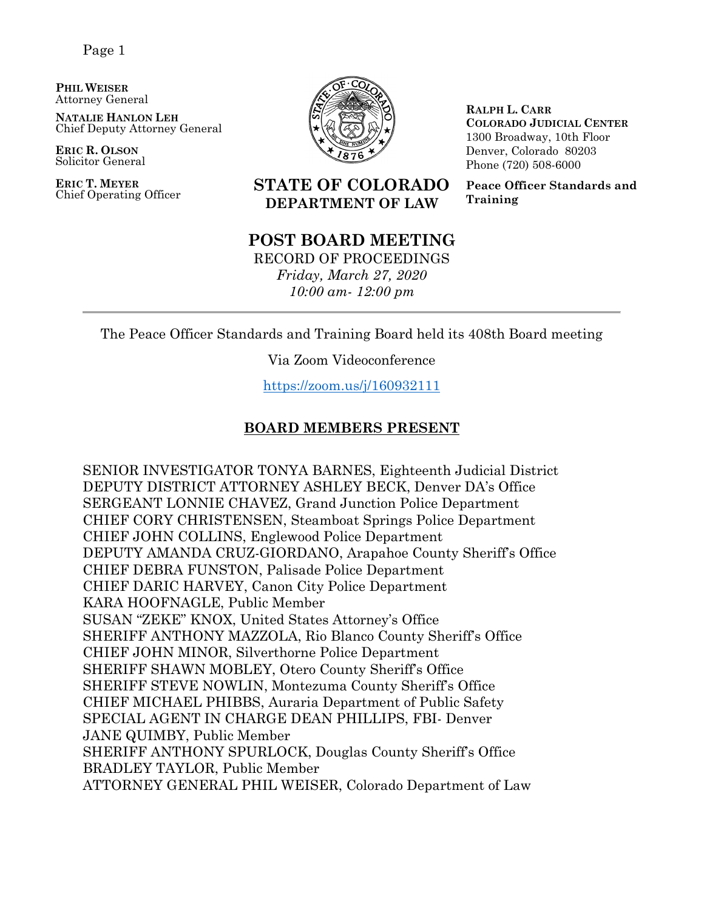**PHIL WEISER** Attorney General

**NATALIE HANLON LEH** Chief Deputy Attorney General

**ERIC R. OLSON** Solicitor General

**ERIC T. MEYER**



**RALPH L. CARR COLORADO JUDICIAL CENTER** 1300 Broadway, 10th Floor Denver, Colorado 80203 Phone (720) 508-6000

**Peace Officer Standards and Training**

# **STATE OF COLORADO DEPARTMENT OF LAW**

# **POST BOARD MEETING**

RECORD OF PROCEEDINGS *Friday, March 27, 2020 10:00 am- 12:00 pm*

The Peace Officer Standards and Training Board held its 408th Board meeting

Via Zoom Videoconference

<https://zoom.us/j/160932111>

# **BOARD MEMBERS PRESENT**

SENIOR INVESTIGATOR TONYA BARNES, Eighteenth Judicial District DEPUTY DISTRICT ATTORNEY ASHLEY BECK, Denver DA's Office SERGEANT LONNIE CHAVEZ, Grand Junction Police Department CHIEF CORY CHRISTENSEN, Steamboat Springs Police Department CHIEF JOHN COLLINS, Englewood Police Department DEPUTY AMANDA CRUZ-GIORDANO, Arapahoe County Sheriff's Office CHIEF DEBRA FUNSTON, Palisade Police Department CHIEF DARIC HARVEY, Canon City Police Department KARA HOOFNAGLE, Public Member SUSAN "ZEKE" KNOX, United States Attorney's Office SHERIFF ANTHONY MAZZOLA, Rio Blanco County Sheriff's Office CHIEF JOHN MINOR, Silverthorne Police Department SHERIFF SHAWN MOBLEY, Otero County Sheriff's Office SHERIFF STEVE NOWLIN, Montezuma County Sheriff's Office CHIEF MICHAEL PHIBBS, Auraria Department of Public Safety SPECIAL AGENT IN CHARGE DEAN PHILLIPS, FBI- Denver JANE QUIMBY, Public Member SHERIFF ANTHONY SPURLOCK, Douglas County Sheriff's Office BRADLEY TAYLOR, Public Member ATTORNEY GENERAL PHIL WEISER, Colorado Department of Law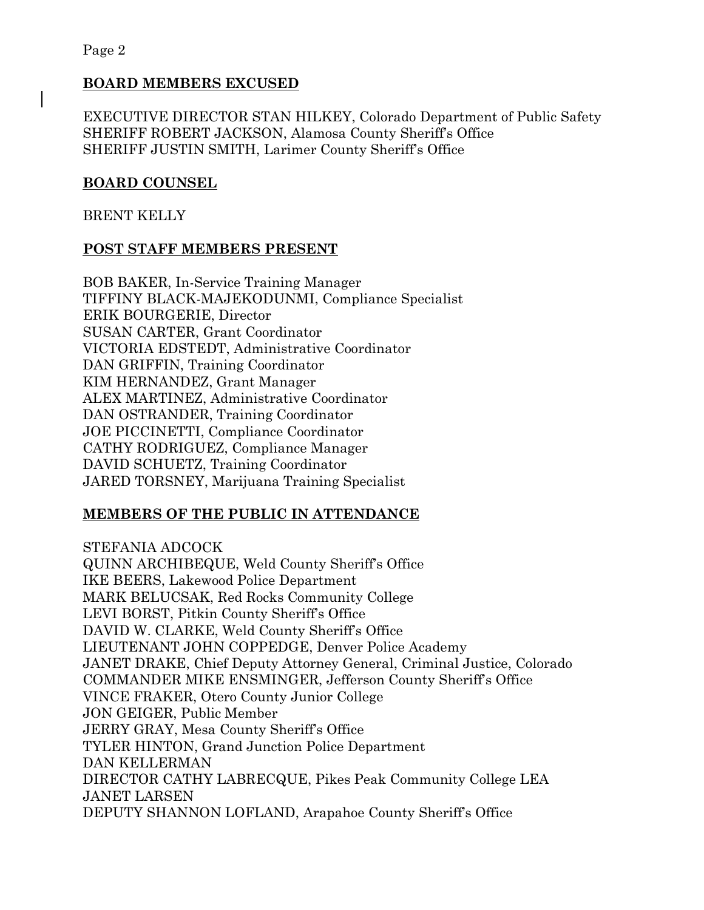# **BOARD MEMBERS EXCUSED**

EXECUTIVE DIRECTOR STAN HILKEY, Colorado Department of Public Safety SHERIFF ROBERT JACKSON, Alamosa County Sheriff's Office SHERIFF JUSTIN SMITH, Larimer County Sheriff's Office

# **BOARD COUNSEL**

BRENT KELLY

## **POST STAFF MEMBERS PRESENT**

BOB BAKER, In-Service Training Manager TIFFINY BLACK-MAJEKODUNMI, Compliance Specialist ERIK BOURGERIE, Director SUSAN CARTER, Grant Coordinator VICTORIA EDSTEDT, Administrative Coordinator DAN GRIFFIN, Training Coordinator KIM HERNANDEZ, Grant Manager ALEX MARTINEZ, Administrative Coordinator DAN OSTRANDER, Training Coordinator JOE PICCINETTI, Compliance Coordinator CATHY RODRIGUEZ, Compliance Manager DAVID SCHUETZ, Training Coordinator JARED TORSNEY, Marijuana Training Specialist

# **MEMBERS OF THE PUBLIC IN ATTENDANCE**

STEFANIA ADCOCK QUINN ARCHIBEQUE, Weld County Sheriff's Office IKE BEERS, Lakewood Police Department MARK BELUCSAK, Red Rocks Community College LEVI BORST, Pitkin County Sheriff's Office DAVID W. CLARKE, Weld County Sheriff's Office LIEUTENANT JOHN COPPEDGE, Denver Police Academy JANET DRAKE, Chief Deputy Attorney General, Criminal Justice, Colorado COMMANDER MIKE ENSMINGER, Jefferson County Sheriff's Office VINCE FRAKER, Otero County Junior College JON GEIGER, Public Member JERRY GRAY, Mesa County Sheriff's Office TYLER HINTON, Grand Junction Police Department DAN KELLERMAN DIRECTOR CATHY LABRECQUE, Pikes Peak Community College LEA JANET LARSEN DEPUTY SHANNON LOFLAND, Arapahoe County Sheriff's Office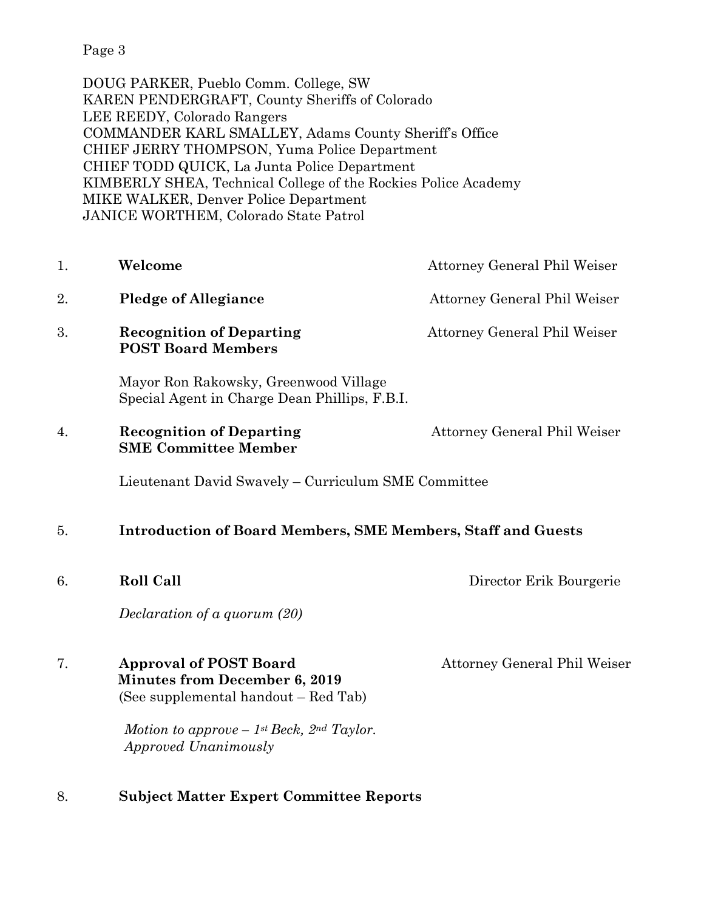DOUG PARKER, Pueblo Comm. College, SW KAREN PENDERGRAFT, County Sheriffs of Colorado LEE REEDY, Colorado Rangers COMMANDER KARL SMALLEY, Adams County Sheriff's Office CHIEF JERRY THOMPSON, Yuma Police Department CHIEF TODD QUICK, La Junta Police Department KIMBERLY SHEA, Technical College of the Rockies Police Academy MIKE WALKER, Denver Police Department JANICE WORTHEM, Colorado State Patrol

- 1. **Welcome Attorney General Phil Weiser** 2. **Pledge of Allegiance** Attorney General Phil Weiser 3. **Recognition of Departing 3. Attorney General Phil Weiser POST Board Members** Mayor Ron Rakowsky, Greenwood Village Special Agent in Charge Dean Phillips, F.B.I. 4. **Recognition of Departing** Attorney General Phil Weiser
	- Lieutenant David Swavely Curriculum SME Committee

## 5. **Introduction of Board Members, SME Members, Staff and Guests**

6. **Roll Call** Director Erik Bourgerie

*Declaration of a quorum (20)*

**SME Committee Member**

# 7. **Approval of POST Board** Attorney General Phil Weiser **Minutes from December 6, 2019** (See supplemental handout – Red Tab)

*Motion to approve – 1st Beck, 2nd Taylor. Approved Unanimously*

# 8. **Subject Matter Expert Committee Reports**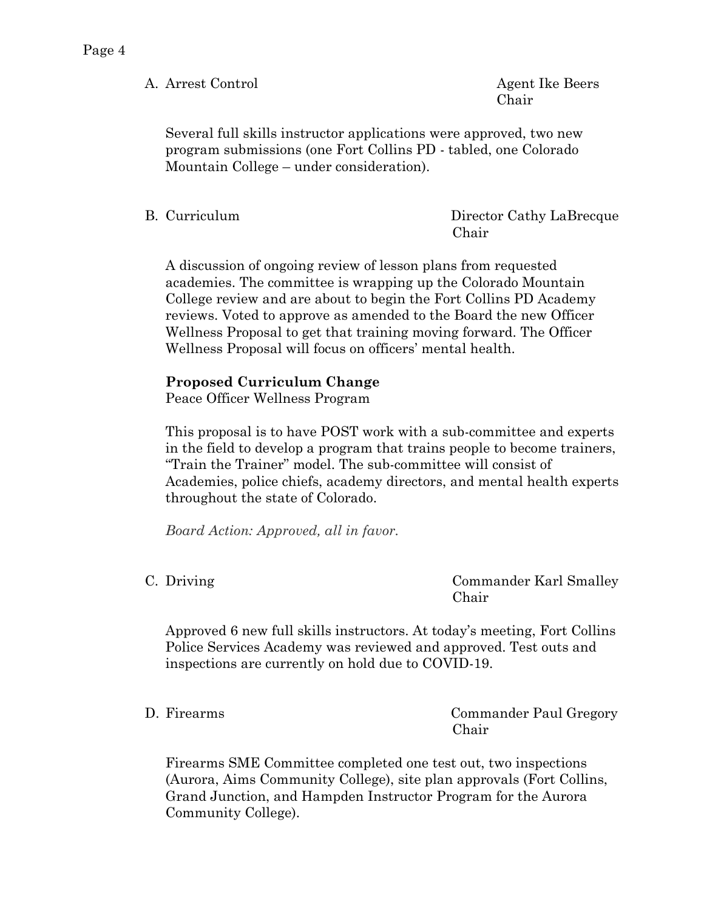A. Arrest Control Agent Ike Beers

Chair

Several full skills instructor applications were approved, two new program submissions (one Fort Collins PD - tabled, one Colorado Mountain College – under consideration).

B. Curriculum Director Cathy LaBrecque Chair

A discussion of ongoing review of lesson plans from requested academies. The committee is wrapping up the Colorado Mountain College review and are about to begin the Fort Collins PD Academy reviews. Voted to approve as amended to the Board the new Officer Wellness Proposal to get that training moving forward. The Officer Wellness Proposal will focus on officers' mental health.

# **Proposed Curriculum Change**

Peace Officer Wellness Program

This proposal is to have POST work with a sub-committee and experts in the field to develop a program that trains people to become trainers, "Train the Trainer" model. The sub-committee will consist of Academies, police chiefs, academy directors, and mental health experts throughout the state of Colorado.

*Board Action: Approved, all in favor.*

C. Driving Commander Karl Smalley Chair

Approved 6 new full skills instructors. At today's meeting, Fort Collins Police Services Academy was reviewed and approved. Test outs and inspections are currently on hold due to COVID-19.

D. Firearms Commander Paul Gregory Chair

Firearms SME Committee completed one test out, two inspections (Aurora, Aims Community College), site plan approvals (Fort Collins, Grand Junction, and Hampden Instructor Program for the Aurora Community College).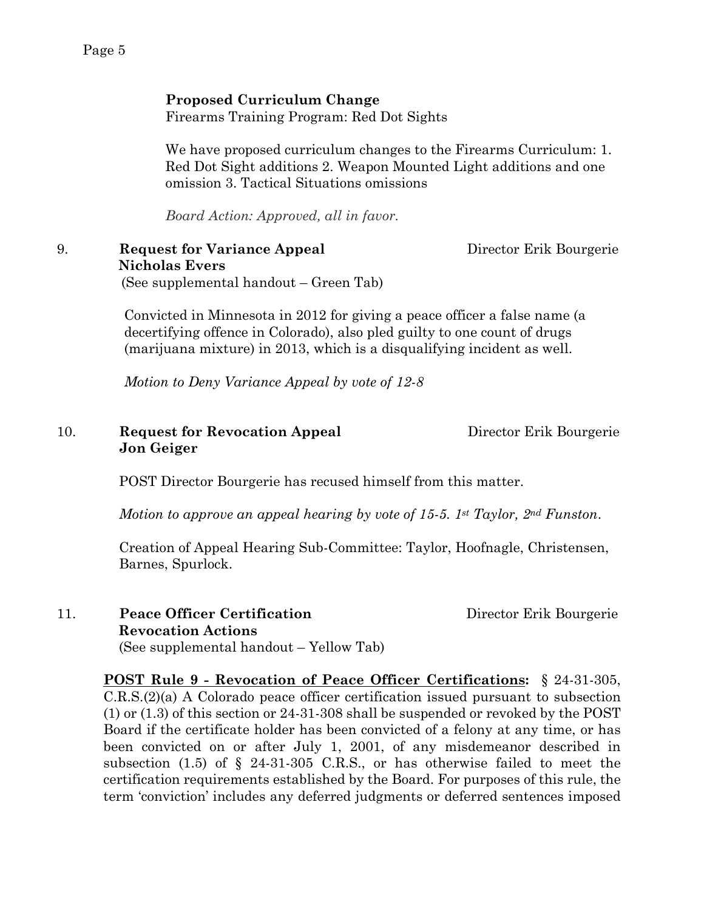#### **Proposed Curriculum Change**

Firearms Training Program: Red Dot Sights

We have proposed curriculum changes to the Firearms Curriculum: 1. Red Dot Sight additions 2. Weapon Mounted Light additions and one omission 3. Tactical Situations omissions

*Board Action: Approved, all in favor.*

#### 9. **Request for Variance Appeal** Director Erik Bourgerie  **Nicholas Evers** (See supplemental handout – Green Tab)

Convicted in Minnesota in 2012 for giving a peace officer a false name (a decertifying offence in Colorado), also pled guilty to one count of drugs (marijuana mixture) in 2013, which is a disqualifying incident as well.

*Motion to Deny Variance Appeal by vote of 12-8*

### 10. **Request for Revocation Appeal** Director Erik Bourgerie **Jon Geiger**

POST Director Bourgerie has recused himself from this matter.

*Motion to approve an appeal hearing by vote of 15-5. 1st Taylor, 2nd Funston*.

Creation of Appeal Hearing Sub-Committee: Taylor, Hoofnagle, Christensen, Barnes, Spurlock.

11. **Peace Officer Certification** Director Erik Bourgerie  **Revocation Actions**  (See supplemental handout – Yellow Tab)

**POST Rule 9 - Revocation of Peace Officer Certifications:** § 24-31-305, C.R.S.(2)(a) A Colorado peace officer certification issued pursuant to subsection (1) or (1.3) of this section or 24-31-308 shall be suspended or revoked by the POST Board if the certificate holder has been convicted of a felony at any time, or has been convicted on or after July 1, 2001, of any misdemeanor described in subsection  $(1.5)$  of § 24-31-305 C.R.S., or has otherwise failed to meet the certification requirements established by the Board. For purposes of this rule, the term 'conviction' includes any deferred judgments or deferred sentences imposed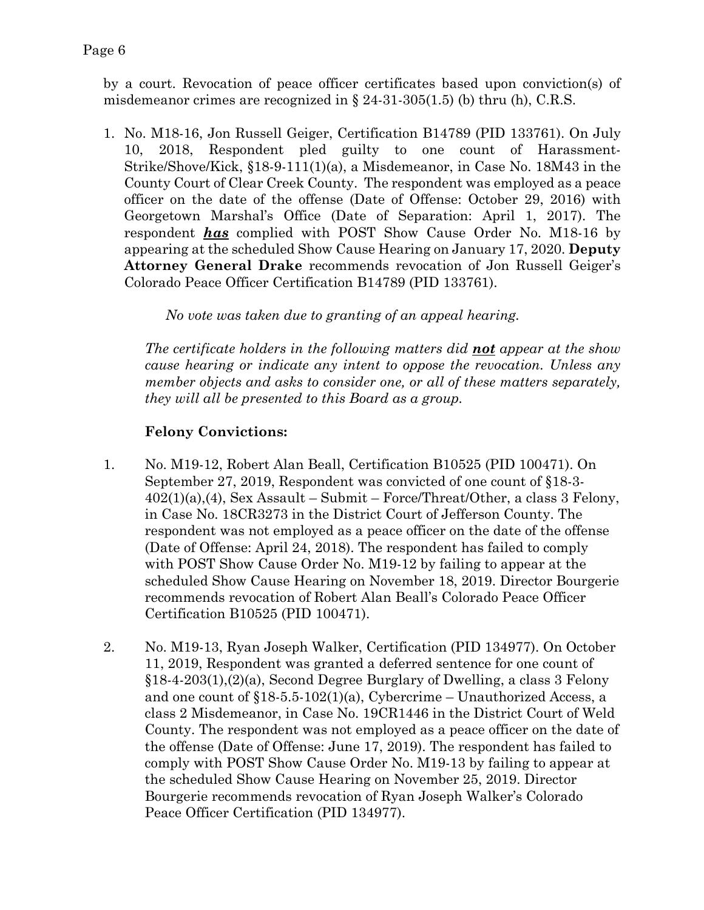by a court. Revocation of peace officer certificates based upon conviction(s) of misdemeanor crimes are recognized in  $\S 24-31-305(1.5)$  (b) thru (h), C.R.S.

1. No. M18-16, Jon Russell Geiger, Certification B14789 (PID 133761). On July 10, 2018, Respondent pled guilty to one count of Harassment-Strike/Shove/Kick, §18-9-111(1)(a), a Misdemeanor, in Case No. 18M43 in the County Court of Clear Creek County. The respondent was employed as a peace officer on the date of the offense (Date of Offense: October 29, 2016) with Georgetown Marshal's Office (Date of Separation: April 1, 2017). The respondent *has* complied with POST Show Cause Order No. M18-16 by appearing at the scheduled Show Cause Hearing on January 17, 2020. **Deputy Attorney General Drake** recommends revocation of Jon Russell Geiger's Colorado Peace Officer Certification B14789 (PID 133761).

*No vote was taken due to granting of an appeal hearing.* 

*The certificate holders in the following matters did not appear at the show cause hearing or indicate any intent to oppose the revocation. Unless any member objects and asks to consider one, or all of these matters separately, they will all be presented to this Board as a group.*

# **Felony Convictions:**

- 1. No. M19-12, Robert Alan Beall, Certification B10525 (PID 100471). On September 27, 2019, Respondent was convicted of one count of §18-3-  $402(1)(a),(4)$ , Sex Assault – Submit – Force/Threat/Other, a class 3 Felony, in Case No. 18CR3273 in the District Court of Jefferson County. The respondent was not employed as a peace officer on the date of the offense (Date of Offense: April 24, 2018). The respondent has failed to comply with POST Show Cause Order No. M19-12 by failing to appear at the scheduled Show Cause Hearing on November 18, 2019. Director Bourgerie recommends revocation of Robert Alan Beall's Colorado Peace Officer Certification B10525 (PID 100471).
- 2. No. M19-13, Ryan Joseph Walker, Certification (PID 134977). On October 11, 2019, Respondent was granted a deferred sentence for one count of §18-4-203(1),(2)(a), Second Degree Burglary of Dwelling, a class 3 Felony and one count of  $$18-5.5-102(1)(a)$ , Cybercrime – Unauthorized Access, a class 2 Misdemeanor, in Case No. 19CR1446 in the District Court of Weld County. The respondent was not employed as a peace officer on the date of the offense (Date of Offense: June 17, 2019). The respondent has failed to comply with POST Show Cause Order No. M19-13 by failing to appear at the scheduled Show Cause Hearing on November 25, 2019. Director Bourgerie recommends revocation of Ryan Joseph Walker's Colorado Peace Officer Certification (PID 134977).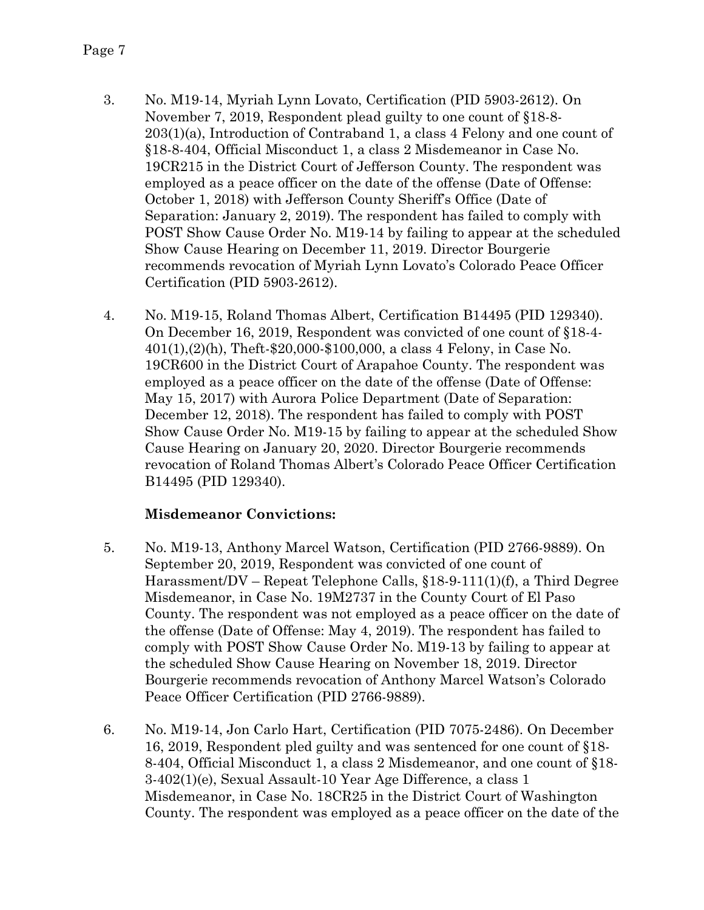- 3. No. M19-14, Myriah Lynn Lovato, Certification (PID 5903-2612). On November 7, 2019, Respondent plead guilty to one count of §18-8- 203(1)(a), Introduction of Contraband 1, a class 4 Felony and one count of §18-8-404, Official Misconduct 1, a class 2 Misdemeanor in Case No. 19CR215 in the District Court of Jefferson County. The respondent was employed as a peace officer on the date of the offense (Date of Offense: October 1, 2018) with Jefferson County Sheriff's Office (Date of Separation: January 2, 2019). The respondent has failed to comply with POST Show Cause Order No. M19-14 by failing to appear at the scheduled Show Cause Hearing on December 11, 2019. Director Bourgerie recommends revocation of Myriah Lynn Lovato's Colorado Peace Officer Certification (PID 5903-2612).
- 4. No. M19-15, Roland Thomas Albert, Certification B14495 (PID 129340). On December 16, 2019, Respondent was convicted of one count of §18-4- 401(1),(2)(h), Theft-\$20,000-\$100,000, a class 4 Felony, in Case No. 19CR600 in the District Court of Arapahoe County. The respondent was employed as a peace officer on the date of the offense (Date of Offense: May 15, 2017) with Aurora Police Department (Date of Separation: December 12, 2018). The respondent has failed to comply with POST Show Cause Order No. M19-15 by failing to appear at the scheduled Show Cause Hearing on January 20, 2020. Director Bourgerie recommends revocation of Roland Thomas Albert's Colorado Peace Officer Certification B14495 (PID 129340).

# **Misdemeanor Convictions:**

- 5. No. M19-13, Anthony Marcel Watson, Certification (PID 2766-9889). On September 20, 2019, Respondent was convicted of one count of Harassment/DV – Repeat Telephone Calls, §18-9-111(1)(f), a Third Degree Misdemeanor, in Case No. 19M2737 in the County Court of El Paso County. The respondent was not employed as a peace officer on the date of the offense (Date of Offense: May 4, 2019). The respondent has failed to comply with POST Show Cause Order No. M19-13 by failing to appear at the scheduled Show Cause Hearing on November 18, 2019. Director Bourgerie recommends revocation of Anthony Marcel Watson's Colorado Peace Officer Certification (PID 2766-9889).
- 6. No. M19-14, Jon Carlo Hart, Certification (PID 7075-2486). On December 16, 2019, Respondent pled guilty and was sentenced for one count of §18- 8-404, Official Misconduct 1, a class 2 Misdemeanor, and one count of §18- 3-402(1)(e), Sexual Assault-10 Year Age Difference, a class 1 Misdemeanor, in Case No. 18CR25 in the District Court of Washington County. The respondent was employed as a peace officer on the date of the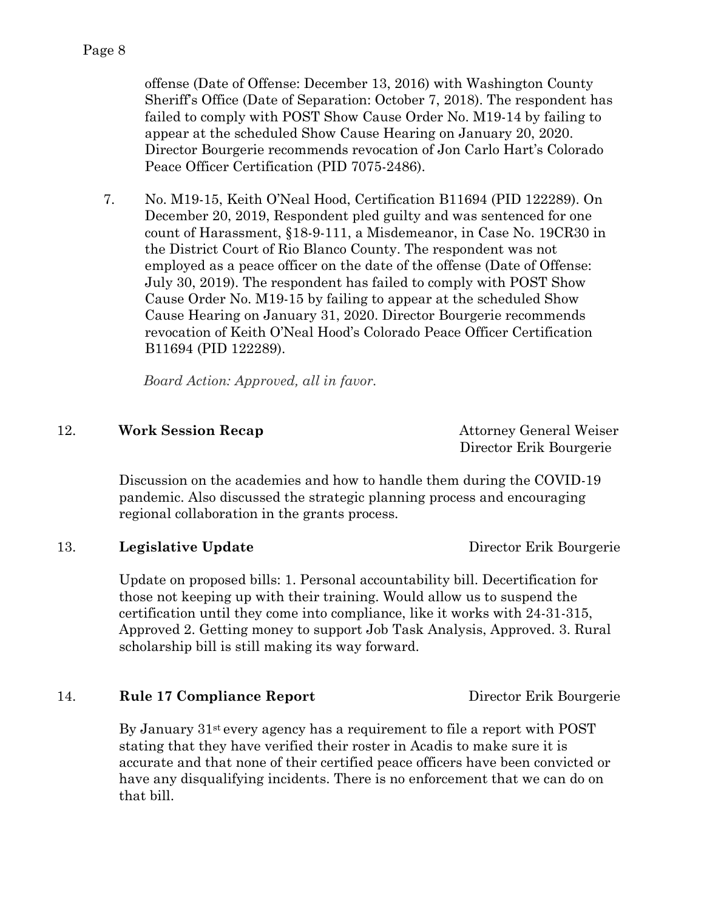offense (Date of Offense: December 13, 2016) with Washington County Sheriff's Office (Date of Separation: October 7, 2018). The respondent has failed to comply with POST Show Cause Order No. M19-14 by failing to appear at the scheduled Show Cause Hearing on January 20, 2020. Director Bourgerie recommends revocation of Jon Carlo Hart's Colorado Peace Officer Certification (PID 7075-2486).

7. No. M19-15, Keith O'Neal Hood, Certification B11694 (PID 122289). On December 20, 2019, Respondent pled guilty and was sentenced for one count of Harassment, §18-9-111, a Misdemeanor, in Case No. 19CR30 in the District Court of Rio Blanco County. The respondent was not employed as a peace officer on the date of the offense (Date of Offense: July 30, 2019). The respondent has failed to comply with POST Show Cause Order No. M19-15 by failing to appear at the scheduled Show Cause Hearing on January 31, 2020. Director Bourgerie recommends revocation of Keith O'Neal Hood's Colorado Peace Officer Certification B11694 (PID 122289).

 *Board Action: Approved, all in favor.*

# 12. **Work Session Recap Attorney General Weiser**

Director Erik Bourgerie

Discussion on the academies and how to handle them during the COVID-19 pandemic. Also discussed the strategic planning process and encouraging regional collaboration in the grants process.

## 13. **Legislative Update** Director Erik Bourgerie

Update on proposed bills: 1. Personal accountability bill. Decertification for those not keeping up with their training. Would allow us to suspend the certification until they come into compliance, like it works with 24-31-315, Approved 2. Getting money to support Job Task Analysis, Approved. 3. Rural scholarship bill is still making its way forward.

## 14. **Rule 17 Compliance Report** Director Erik Bourgerie

By January 31st every agency has a requirement to file a report with POST stating that they have verified their roster in Acadis to make sure it is accurate and that none of their certified peace officers have been convicted or have any disqualifying incidents. There is no enforcement that we can do on that bill.